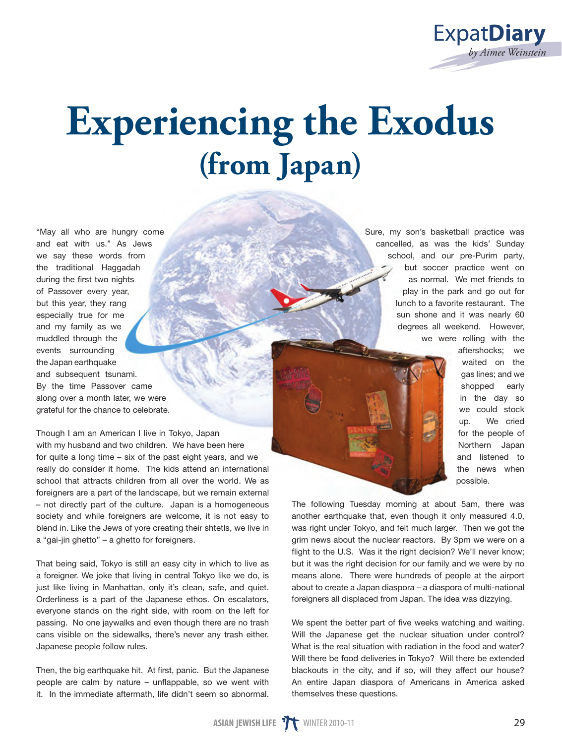

## **Experiencing the Exodus (from Japan)**

"May all who are hungry come and eat with us." As Jews we say these words from the traditional Haggadah during the first two nights of Passover every year, but this year, they rang especially true for me and my family as we muddled through the events surrounding the Japan earthquake and subsequent tsunami. By the time Passover came along over a month later, we were grateful for the chance to celebrate.

Though I am an American I live in Tokyo, Japan with my husband and two children. We have been here for quite a long time – six of the past eight years, and we really do consider it home. The kids attend an international school that attracts children from all over the world. We as foreigners are a part of the landscape, but we remain external – not directly part of the culture. Japan is a homogeneous society and while foreigners are welcome, it is not easy to blend in. Like the Jews of yore creating their shtetls, we live in a "gai-jin ghetto" – a ghetto for foreigners.

That being said, Tokyo is still an easy city in which to live as a foreigner. We joke that living in central Tokyo like we do, is just like living in Manhattan, only it's clean, safe, and quiet. Orderliness is a part of the Japanese ethos. On escalators, everyone stands on the right side, with room on the left for passing. No one jaywalks and even though there are no trash cans visible on the sidewalks, there's never any trash either. Japanese people follow rules.

Then, the big earthquake hit. At first, panic. But the Japanese people are calm by nature – unflappable, so we went with it. In the immediate aftermath, life didn't seem so abnormal.

Sure, my son's basketball practice was cancelled, as was the kids' Sunday school, and our pre-Purim party. but soccer practice went on as normal. We met friends to play in the park and go out for lunch to a favorite restaurant. The sun shone and it was nearly 60 degrees all weekend. However, we were rolling with the



aftershocks; we waited on the gas lines; and we shopped early in the day so we could stock up. We cried for the people of Northern Japan and listened to the news when possible.

The following Tuesday morning at about 5am, there was another earthquake that, even though it only measured 4.0, was right under Tokyo, and felt much larger. Then we got the grim news about the nuclear reactors. By 3pm we were on a flight to the U.S. Was it the right decision? We'll never know; but it was the right decision for our family and we were by no means alone. There were hundreds of people at the airport about to create a Japan diaspora – a diaspora of multi-national foreigners all displaced from Japan. The idea was dizzying.

We spent the better part of five weeks watching and waiting. Will the Japanese get the nuclear situation under control? What is the real situation with radiation in the food and water? Will there be food deliveries in Tokyo? Will there be extended blackouts in the city, and if so, will they affect our house? An entire Japan diaspora of Americans in America asked themselves these questions.